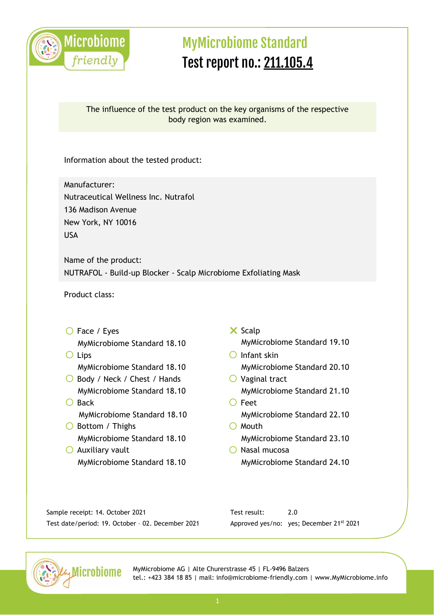

### The influence of the test product on the key organisms of the respective body region was examined.

Information about the tested product:

Manufacturer: Nutraceutical Wellness Inc. Nutrafol 136 Madison Avenue New York, NY 10016 USA

Name of the product: NUTRAFOL - Build-up Blocker - Scalp Microbiome Exfoliating Mask

Product class:

- O Face / Eyes MyMicrobiome Standard 18.10
- Lips MyMicrobiome Standard 18.10
- ◯ Body / Neck / Chest / Hands MyMicrobiome Standard 18.10
- $O$  Back MyMicrobiome Standard 18.10
- O Bottom / Thighs MyMicrobiome Standard 18.10
- $\bigcirc$  Auxiliary vault MyMicrobiome Standard 18.10
- $\times$  Scalp MyMicrobiome Standard 19.10
- $O$  Infant skin MyMicrobiome Standard 20.10
- $\bigcirc$  Vaginal tract MyMicrobiome Standard 21.10
- O Feet MyMicrobiome Standard 22.10  $O$  Mouth
	- MyMicrobiome Standard 23.10
- $\bigcirc$  Nasal mucosa MyMicrobiome Standard 24.10

Sample receipt: 14. October 2021 Test date/period: 19. October – 02. December 2021 Test result: 2.0 Approved yes/no: yes; December 21st 2021

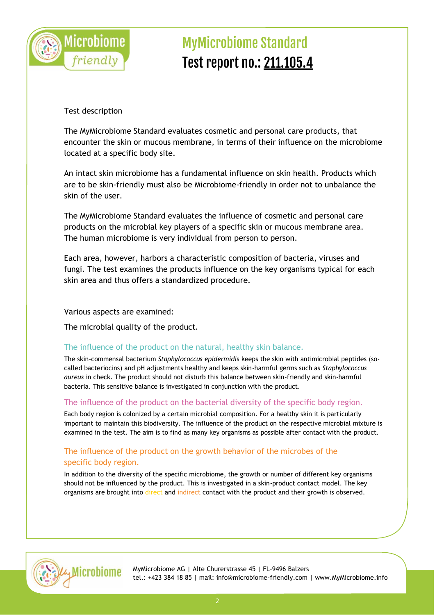

### Test description

The MyMicrobiome Standard evaluates cosmetic and personal care products, that encounter the skin or mucous membrane, in terms of their influence on the microbiome located at a specific body site.

An intact skin microbiome has a fundamental influence on skin health. Products which are to be skin-friendly must also be Microbiome-friendly in order not to unbalance the skin of the user.

The MyMicrobiome Standard evaluates the influence of cosmetic and personal care products on the microbial key players of a specific skin or mucous membrane area. The human microbiome is very individual from person to person.

Each area, however, harbors a characteristic composition of bacteria, viruses and fungi. The test examines the products influence on the key organisms typical for each skin area and thus offers a standardized procedure.

### Various aspects are examined:

The microbial quality of the product.

### The influence of the product on the natural, healthy skin balance.

The skin-commensal bacterium *Staphylococcus epidermidi*s keeps the skin with antimicrobial peptides (socalled bacteriocins) and pH adjustments healthy and keeps skin-harmful germs such as *Staphylococcus aureus* in check. The product should not disturb this balance between skin-friendly and skin-harmful bacteria. This sensitive balance is investigated in conjunction with the product.

#### The influence of the product on the bacterial diversity of the specific body region.

Each body region is colonized by a certain microbial composition. For a healthy skin it is particularly important to maintain this biodiversity. The influence of the product on the respective microbial mixture is examined in the test. The aim is to find as many key organisms as possible after contact with the product.

### The influence of the product on the growth behavior of the microbes of the specific body region.

In addition to the diversity of the specific microbiome, the growth or number of different key organisms should not be influenced by the product. This is investigated in a skin-product contact model. The key organisms are brought into direct and indirect contact with the product and their growth is observed.

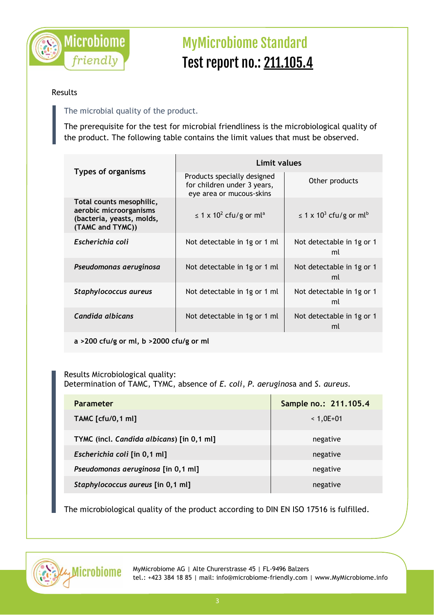

### Results

### The microbial quality of the product.

The prerequisite for the test for microbial friendliness is the microbiological quality of the product. The following table contains the limit values that must be observed.

|                                                                                                     | Limit values                                                                           |                                                     |  |
|-----------------------------------------------------------------------------------------------------|----------------------------------------------------------------------------------------|-----------------------------------------------------|--|
| <b>Types of organisms</b>                                                                           | Products specially designed<br>for children under 3 years,<br>eye area or mucous-skins | Other products                                      |  |
| Total counts mesophilic,<br>aerobic microorganisms<br>(bacteria, yeasts, molds,<br>(TAMC and TYMC)) | $\leq$ 1 x 10 <sup>2</sup> cfu/g or ml <sup>a</sup>                                    | $\leq$ 1 x 10 <sup>3</sup> cfu/g or ml <sup>b</sup> |  |
| Escherichia coli                                                                                    | Not detectable in 1g or 1 ml                                                           | Not detectable in 1g or 1<br>ml                     |  |
| Pseudomonas aeruginosa                                                                              | Not detectable in 1g or 1 ml                                                           | Not detectable in 1g or 1<br>ml                     |  |
| Staphylococcus aureus                                                                               | Not detectable in 1g or 1 ml                                                           | Not detectable in 1g or 1<br>ml                     |  |
| Candida albicans                                                                                    | Not detectable in 1g or 1 ml                                                           | Not detectable in 1g or 1<br>ml                     |  |

**a >200 cfu/g or ml, b >2000 cfu/g or ml**

Results Microbiological quality: Determination of TAMC, TYMC, absence of *E. coli*, *P. aeruginos*a and *S. aureus.*

| <b>Parameter</b>                          | Sample no.: 211.105.4 |
|-------------------------------------------|-----------------------|
| <b>TAMC</b> [cfu/0,1 ml]                  | $< 1,0E+01$           |
| TYMC (incl. Candida albicans) [in 0,1 ml] | negative              |
| Escherichia coli [in 0,1 ml]              | negative              |
| Pseudomonas aeruginosa [in 0,1 ml]        | negative              |
| Staphylococcus aureus [in 0,1 ml]         | negative              |

The microbiological quality of the product according to DIN EN ISO 17516 is fulfilled.

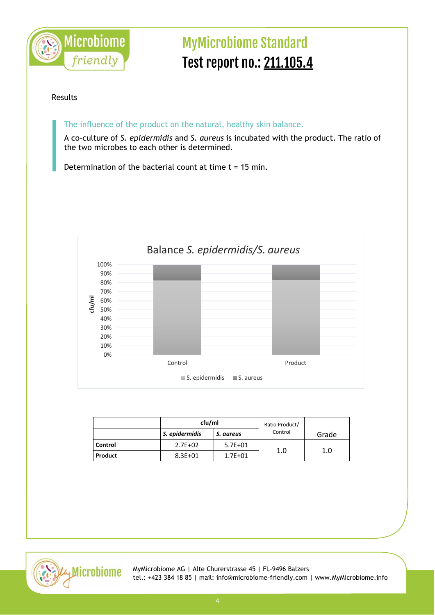

#### Results

The influence of the product on the natural, healthy skin balance.

A co-culture of *S. epidermidis* and *S. aureus* is incubated with the product. The ratio of the two microbes to each other is determined.

Determination of the bacterial count at time  $t = 15$  min.



|         | cfu/ml         |             | Ratio Product/ |       |
|---------|----------------|-------------|----------------|-------|
|         | S. epidermidis | S. aureus   | Control        | Grade |
| Control | $2.7E + 02$    | $5.7E + 01$ |                |       |
| Product | $8.3E + 01$    | $1.7E + 01$ | 1.0            | 1.0   |

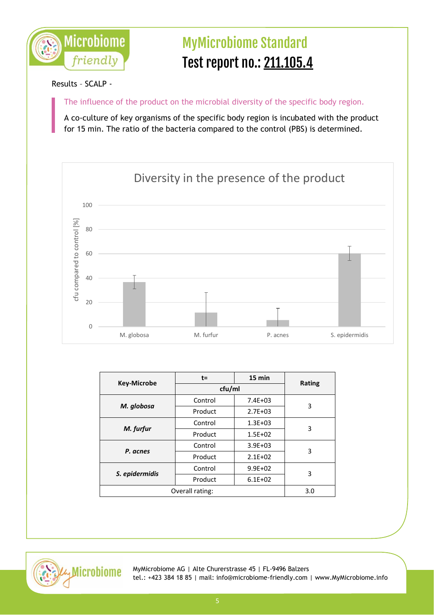

### Results – SCALP -

The influence of the product on the microbial diversity of the specific body region.

A co-culture of key organisms of the specific body region is incubated with the product for 15 min. The ratio of the bacteria compared to the control (PBS) is determined.



| <b>Key-Microbe</b> | $t =$   | 15 min      |               |
|--------------------|---------|-------------|---------------|
|                    | cfu/ml  |             | <b>Rating</b> |
| M. globosa         | Control | $7.4E + 03$ | 3             |
|                    | Product | $2.7E + 03$ |               |
| M. furfur          | Control | $1.3E + 03$ | 3             |
|                    | Product | $1.5E + 02$ |               |
| P. acnes           | Control | $3.9E + 03$ | 3             |
|                    | Product | $2.1E + 02$ |               |
| S. epidermidis     | Control | $9.9E + 02$ | 3             |
|                    | Product | $6.1E + 02$ |               |
| Overall rating:    |         | 3.0         |               |

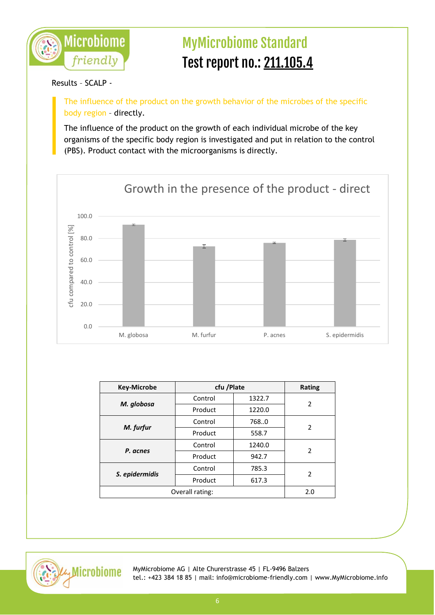

### Results – SCALP -

The influence of the product on the growth behavior of the microbes of the specific body region – directly.

The influence of the product on the growth of each individual microbe of the key organisms of the specific body region is investigated and put in relation to the control (PBS). Product contact with the microorganisms is directly.



| <b>Key-Microbe</b> | cfu /Plate |        | <b>Rating</b>  |
|--------------------|------------|--------|----------------|
| M. globosa         | Control    | 1322.7 | 2              |
|                    | Product    | 1220.0 |                |
| M. furfur          | Control    | 768.0  | 2              |
|                    | Product    | 558.7  |                |
| P. acnes           | Control    | 1240.0 | $\overline{2}$ |
|                    | Product    | 942.7  |                |
| S. epidermidis     | Control    | 785.3  | 2              |
|                    | Product    | 617.3  |                |
| Overall rating:    |            | 2.0    |                |

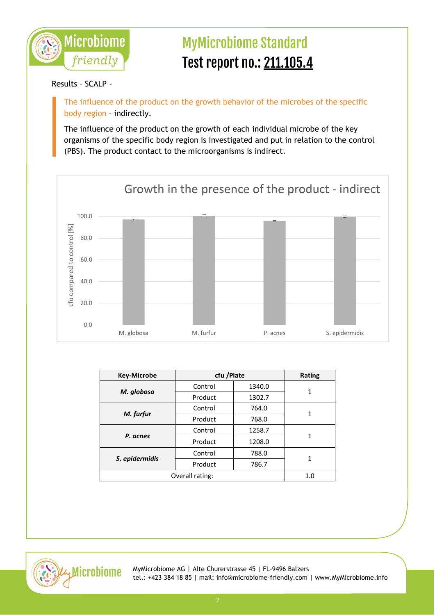

### Results – SCALP -

The influence of the product on the growth behavior of the microbes of the specific body region – indirectly.

The influence of the product on the growth of each individual microbe of the key organisms of the specific body region is investigated and put in relation to the control (PBS). The product contact to the microorganisms is indirect.



| <b>Key-Microbe</b> | cfu /Plate |        | <b>Rating</b> |
|--------------------|------------|--------|---------------|
| M. globosa         | Control    | 1340.0 |               |
|                    | Product    | 1302.7 | 1             |
| M. furfur          | Control    | 764.0  | 1             |
|                    | Product    | 768.0  |               |
| P. acnes           | Control    | 1258.7 | 1             |
|                    | Product    | 1208.0 |               |
| S. epidermidis     | Control    | 788.0  | 1             |
|                    | Product    | 786.7  |               |
| Overall rating:    |            | 1.0    |               |